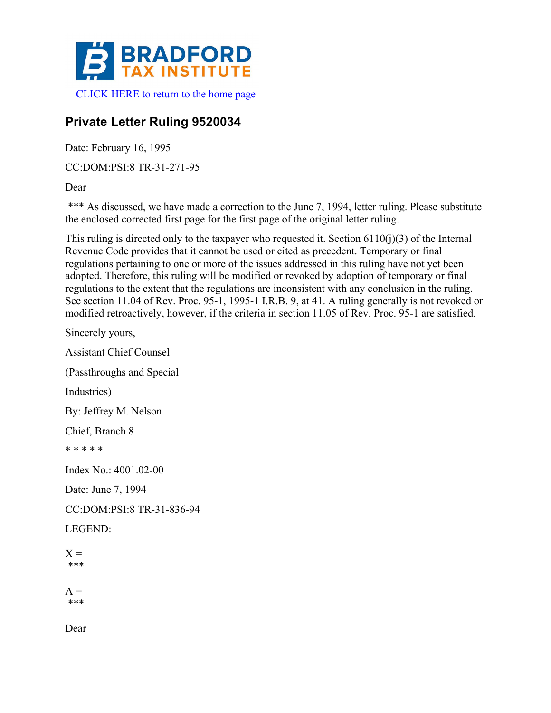

## **Private Letter Ruling 9520034**

Date: February 16, 1995

CC:DOM:PSI:8 TR-31-271-95

Dear

\*\*\* As discussed, we have made a correction to the June 7, 1994, letter ruling. Please substitute the enclosed corrected first page for the first page of the original letter ruling.

This ruling is directed only to the taxpayer who requested it. Section  $6110(i)(3)$  of the Internal Revenue Code provides that it cannot be used or cited as precedent. Temporary or final regulations pertaining to one or more of the issues addressed in this ruling have not yet been adopted. Therefore, this ruling will be modified or revoked by adoption of temporary or final regulations to the extent that the regulations are inconsistent with any conclusion in the ruling. See section 11.04 of Rev. Proc. 95-1, 1995-1 I.R.B. 9, at 41. A ruling generally is not revoked or modified retroactively, however, if the criteria in section 11.05 of Rev. Proc. 95-1 are satisfied.

Sincerely yours, Assistant Chief Counsel (Passthroughs and Special Industries) By: Jeffrey M. Nelson Chief, Branch 8 \* \* \* \* \* Index No.: 4001.02-00 Date: June 7, 1994 CC:DOM:PSI:8 TR-31-836-94 LEGEND:  $X =$ \*\*\*  $A =$ \*\*\*

Dear